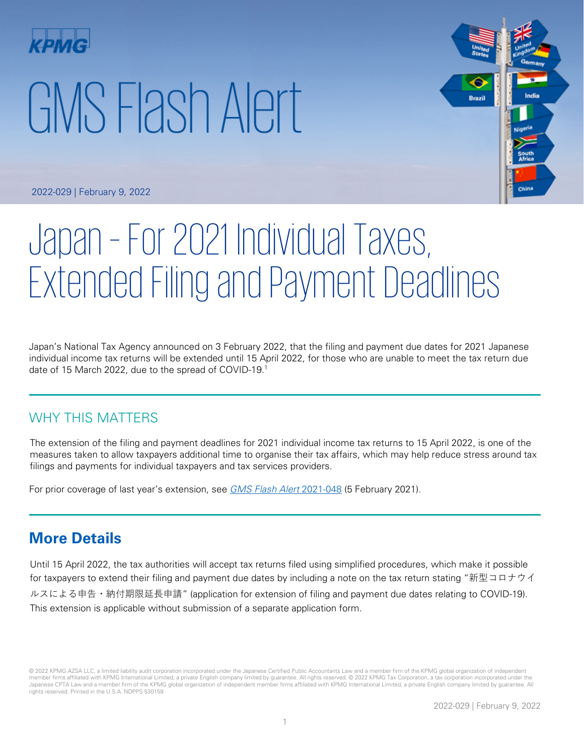# **ИРЛЛС** GMS Flash Alert



2022-029 | February 9, 2022

# Japan – For 2021 Individual Taxes, Extended Filing and Payment Deadlines

Japan's National Tax Agency announced on 3 February 2022, that the filing and payment due dates for 2021 Japanese individual income tax returns will be extended until 15 April 2022, for those who are unable to meet the tax return due date of 15 March 2022, due to the spread of COVID-19.<sup>1</sup>

## WHY THIS MATTERS

The extension of the filing and payment deadlines for 2021 individual income tax returns to 15 April 2022, is one of the measures taken to allow taxpayers additional time to organise their tax affairs, which may help reduce stress around tax filings and payments for individual taxpayers and tax services providers.

For prior coverage of last year's extension, see [GMS Flash Alert](https://home.kpmg/xx/en/home/insights/2021/02/flash-alert-2021-048.html) 2021-048 (5 February 2021).

# **More Details**

Until 15 April 2022, the tax authorities will accept tax returns filed using simplified procedures, which make it possible for taxpayers to extend their filing and payment due dates by including a note on the tax return stating "新型コロナウイ ルスによる申告・納付期限延長申請" (application for extension of filing and payment due dates relating to COVID-19). This extension is applicable without submission of a separate application form.

<sup>© 2022</sup> KPMG AZSA LLC, a limited liability audit corporation incorporated under the Japanese Certified Public Accountants Law and a member firm of the KPMG global organization of independent member firms affiliated with KPMG International Limited, a private English company limited by guarantee. All rights reserved. © 2022 KPMG Tax Corporation, a tax corporation incorporated under the Japanese CPTA Law and a member firm of the KPMG global organization of independent member firms affiliated with KPMG International Limited, a private English company limited by guarantee. All rights reserved. Printed in the U.S.A. NDPPS 530159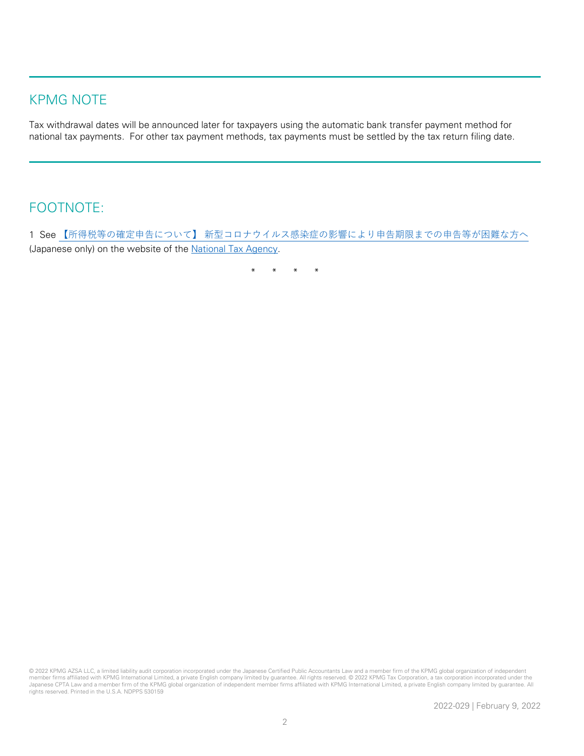### KPMG NOTE

Tax withdrawal dates will be announced later for taxpayers using the automatic bank transfer payment method for national tax payments. For other tax payment methods, tax payments must be settled by the tax return filing date.

# FOOTNOTE:

1 See 【所得税等の確定申告について】 [新型コロナウイルス感染症の影響により申告期限までの申告等が困難な方へ](https://www.nta.go.jp/taxes/shiraberu/kansensho/pdf/0022001-187_04.pdf) (Japanese only) on the website of the [National Tax Agency.](https://www.nta.go.jp/index.htm)

\* \* \* \*

© 2022 KPMG AZSA LLC, a limited liability audit corporation incorporated under the Japanese Certified Public Accountants Law and a member firm of the KPMG global organization of independent member firms affiliated with KPMG International Limited, a private English company limited by guarantee. All rights reserved. © 2022 KPMG Tax Corporation, a tax corporation incorporated under the Japanese CPTA Law and a member firm of the KPMG global organization of independent member firms affiliated with KPMG International Limited, a private English company limited by guarantee. All<br>rights reserved. Printed in th